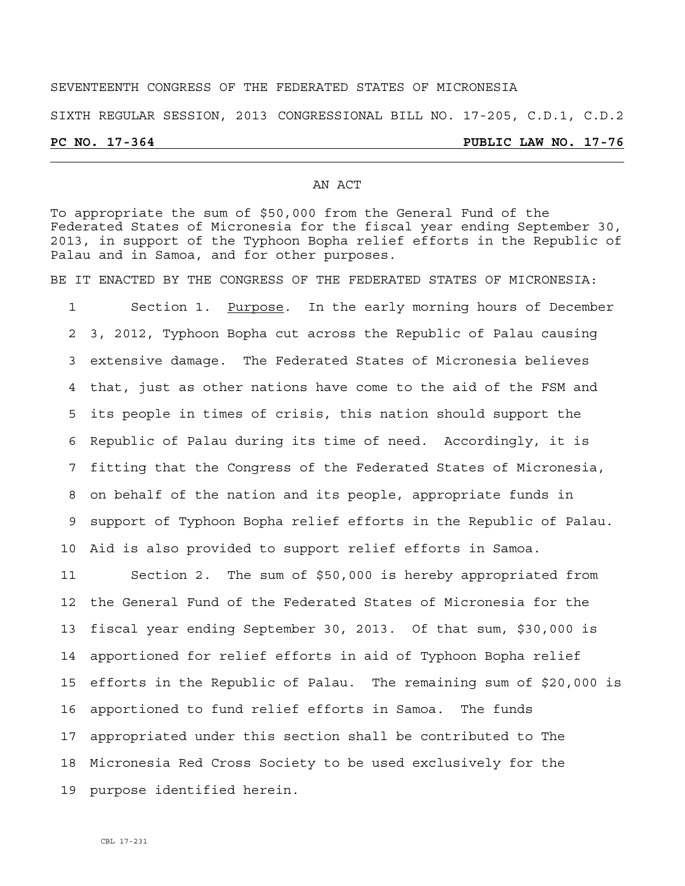# SEVENTEENTH CONGRESS OF THE FEDERATED STATES OF MICRONESIA

SIXTH REGULAR SESSION, 2013 CONGRESSIONAL BILL NO. 17-205, C.D.1, C.D.2

## **PC NO. 17-364 PUBLIC LAW NO. 17-76**

### AN ACT

To appropriate the sum of \$50,000 from the General Fund of the Federated States of Micronesia for the fiscal year ending September 30, 2013, in support of the Typhoon Bopha relief efforts in the Republic of Palau and in Samoa, and for other purposes.

BE IT ENACTED BY THE CONGRESS OF THE FEDERATED STATES OF MICRONESIA:

1 Section 1. Purpose. In the early morning hours of December 2 3, 2012, Typhoon Bopha cut across the Republic of Palau causing 3 extensive damage. The Federated States of Micronesia believes 4 that, just as other nations have come to the aid of the FSM and 5 its people in times of crisis, this nation should support the 6 Republic of Palau during its time of need. Accordingly, it is 7 fitting that the Congress of the Federated States of Micronesia, 8 on behalf of the nation and its people, appropriate funds in 9 support of Typhoon Bopha relief efforts in the Republic of Palau. 10 Aid is also provided to support relief efforts in Samoa.

11 Section 2. The sum of \$50,000 is hereby appropriated from 12 the General Fund of the Federated States of Micronesia for the 13 fiscal year ending September 30, 2013. Of that sum, \$30,000 is 14 apportioned for relief efforts in aid of Typhoon Bopha relief 15 efforts in the Republic of Palau. The remaining sum of \$20,000 is 16 apportioned to fund relief efforts in Samoa. The funds 17 appropriated under this section shall be contributed to The 18 Micronesia Red Cross Society to be used exclusively for the 19 purpose identified herein.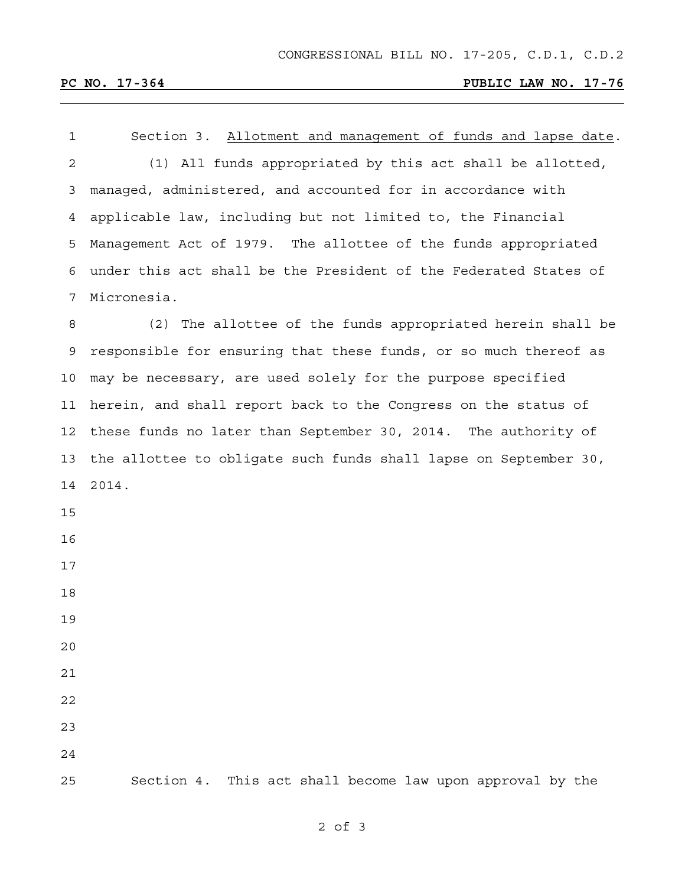<u> 1989 - Johann Stoff, amerikansk politiker (\* 1908)</u>

# **PC NO. 17-364 PUBLIC LAW NO. 17-76**

| $\mathbf{1}$ | Section 3. Allotment and management of funds and lapse date.     |
|--------------|------------------------------------------------------------------|
| 2            | (1) All funds appropriated by this act shall be allotted,        |
| 3            | managed, administered, and accounted for in accordance with      |
| 4            | applicable law, including but not limited to, the Financial      |
| 5            | Management Act of 1979. The allottee of the funds appropriated   |
| 6            | under this act shall be the President of the Federated States of |
| 7            | Micronesia.                                                      |
| 8            | (2) The allottee of the funds appropriated herein shall be       |
| 9            | responsible for ensuring that these funds, or so much thereof as |
| 10           | may be necessary, are used solely for the purpose specified      |
| 11           | herein, and shall report back to the Congress on the status of   |
| 12           | these funds no later than September 30, 2014. The authority of   |
| 13           | the allottee to obligate such funds shall lapse on September 30, |
| 14           | 2014.                                                            |
| 15           |                                                                  |
| 16           |                                                                  |
| 17           |                                                                  |
| 18           |                                                                  |
| 19           |                                                                  |
| 20           |                                                                  |
| 21           |                                                                  |
| 22           |                                                                  |
| 23           |                                                                  |
| 24           |                                                                  |
| 25           | This act shall become law upon approval by the<br>Section 4.     |

2 of 3